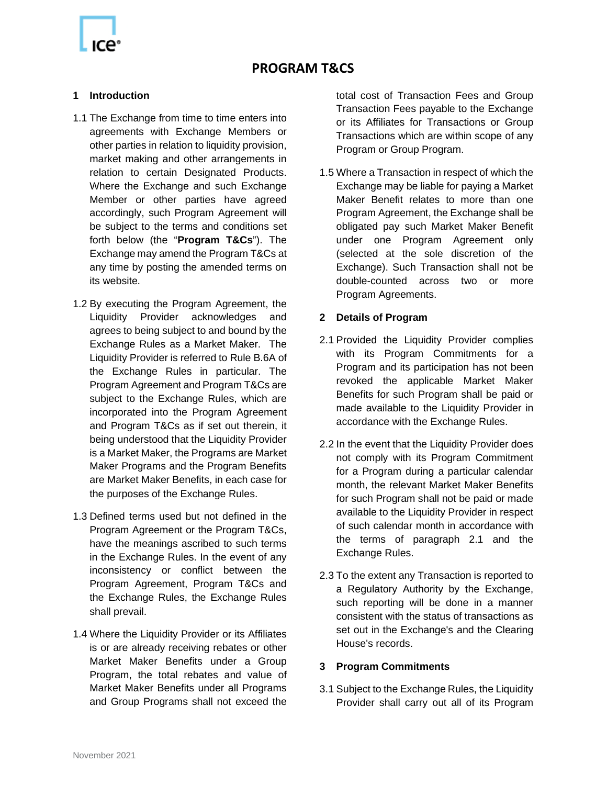#### **1 Introduction**

- 1.1 The Exchange from time to time enters into agreements with Exchange Members or other parties in relation to liquidity provision, market making and other arrangements in relation to certain Designated Products. Where the Exchange and such Exchange Member or other parties have agreed accordingly, such Program Agreement will be subject to the terms and conditions set forth below (the "**Program T&Cs**"). The Exchange may amend the Program T&Cs at any time by posting the amended terms on its website.
- 1.2 By executing the Program Agreement, the Liquidity Provider acknowledges and agrees to being subject to and bound by the Exchange Rules as a Market Maker. The Liquidity Provider is referred to Rule B.6A of the Exchange Rules in particular. The Program Agreement and Program T&Cs are subject to the Exchange Rules, which are incorporated into the Program Agreement and Program T&Cs as if set out therein, it being understood that the Liquidity Provider is a Market Maker, the Programs are Market Maker Programs and the Program Benefits are Market Maker Benefits, in each case for the purposes of the Exchange Rules.
- 1.3 Defined terms used but not defined in the Program Agreement or the Program T&Cs, have the meanings ascribed to such terms in the Exchange Rules. In the event of any inconsistency or conflict between the Program Agreement, Program T&Cs and the Exchange Rules, the Exchange Rules shall prevail.
- 1.4 Where the Liquidity Provider or its Affiliates is or are already receiving rebates or other Market Maker Benefits under a Group Program, the total rebates and value of Market Maker Benefits under all Programs and Group Programs shall not exceed the

total cost of Transaction Fees and Group Transaction Fees payable to the Exchange or its Affiliates for Transactions or Group Transactions which are within scope of any Program or Group Program.

1.5 Where a Transaction in respect of which the Exchange may be liable for paying a Market Maker Benefit relates to more than one Program Agreement, the Exchange shall be obligated pay such Market Maker Benefit under one Program Agreement only (selected at the sole discretion of the Exchange). Such Transaction shall not be double-counted across two or more Program Agreements.

#### **2 Details of Program**

- 2.1 Provided the Liquidity Provider complies with its Program Commitments for a Program and its participation has not been revoked the applicable Market Maker Benefits for such Program shall be paid or made available to the Liquidity Provider in accordance with the Exchange Rules.
- 2.2 In the event that the Liquidity Provider does not comply with its Program Commitment for a Program during a particular calendar month, the relevant Market Maker Benefits for such Program shall not be paid or made available to the Liquidity Provider in respect of such calendar month in accordance with the terms of paragraph 2.1 and the Exchange Rules.
- 2.3 To the extent any Transaction is reported to a Regulatory Authority by the Exchange, such reporting will be done in a manner consistent with the status of transactions as set out in the Exchange's and the Clearing House's records.

#### **3 Program Commitments**

3.1 Subject to the Exchange Rules, the Liquidity Provider shall carry out all of its Program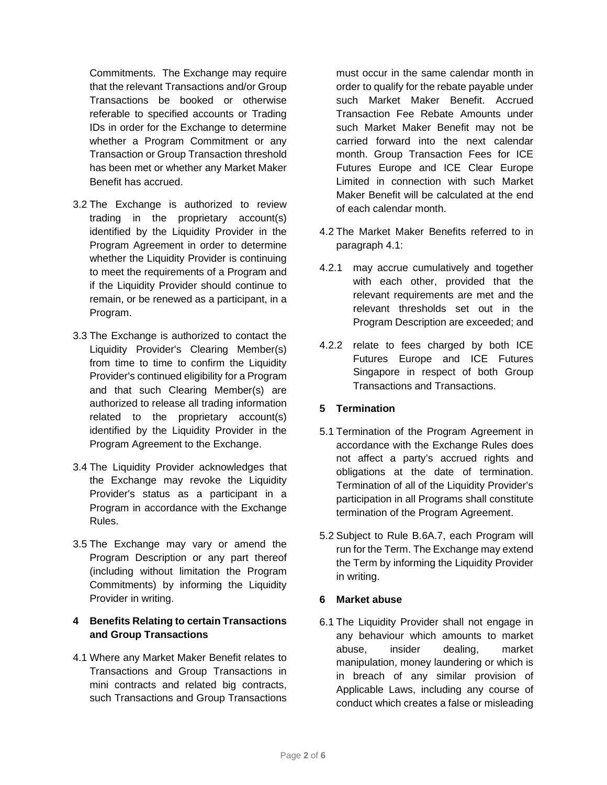Commitments. The Exchange may require that the relevant Transactions and/or Group Transactions be booked or otherwise referable to specified accounts or Trading IDs in order for the Exchange to determine whether a Program Commitment or any Transaction or Group Transaction threshold has been met or whether any Market Maker Benefit has accrued.

- 3.2 The Exchange is authorized to review trading in the proprietary account(s) identified by the Liquidity Provider in the Program Agreement in order to determine whether the Liquidity Provider is continuing to meet the requirements of a Program and if the Liquidity Provider should continue to remain, or be renewed as a participant, in a Program.
- 3.3 The Exchange is authorized to contact the Liquidity Provider's Clearing Member(s) from time to time to confirm the Liquidity Provider's continued eligibility for a Program and that such Clearing Member(s) are authorized to release all trading information related to the proprietary account(s) identified by the Liquidity Provider in the Program Agreement to the Exchange.
- 3.4 The Liquidity Provider acknowledges that the Exchange may revoke the Liquidity Provider's status as a participant in a Program in accordance with the Exchange Rules.
- 3.5 The Exchange may vary or amend the Program Description or any part thereof (including without limitation the Program Commitments) by informing the Liquidity Provider in writing.

## **4 Benefits Relating to certain Transactions and Group Transactions**

4.1 Where any Market Maker Benefit relates to Transactions and Group Transactions in mini contracts and related big contracts, such Transactions and Group Transactions

must occur in the same calendar month in order to qualify for the rebate payable under such Market Maker Benefit. Accrued Transaction Fee Rebate Amounts under such Market Maker Benefit may not be carried forward into the next calendar month. Group Transaction Fees for ICE Futures Europe and ICE Clear Europe Limited in connection with such Market Maker Benefit will be calculated at the end of each calendar month.

- 4.2 The Market Maker Benefits referred to in paragraph 4.1:
- 4.2.1 may accrue cumulatively and together with each other, provided that the relevant requirements are met and the relevant thresholds set out in the Program Description are exceeded; and
- 4.2.2 relate to fees charged by both ICE Futures Europe and ICE Futures Singapore in respect of both Group Transactions and Transactions.

# **5 Termination**

- 5.1 Termination of the Program Agreement in accordance with the Exchange Rules does not affect a party's accrued rights and obligations at the date of termination. Termination of all of the Liquidity Provider's participation in all Programs shall constitute termination of the Program Agreement.
- 5.2 Subject to Rule B.6A.7, each Program will run for the Term. The Exchange may extend the Term by informing the Liquidity Provider in writing.

# **6 Market abuse**

6.1 The Liquidity Provider shall not engage in any behaviour which amounts to market abuse, insider dealing, market manipulation, money laundering or which is in breach of any similar provision of Applicable Laws, including any course of conduct which creates a false or misleading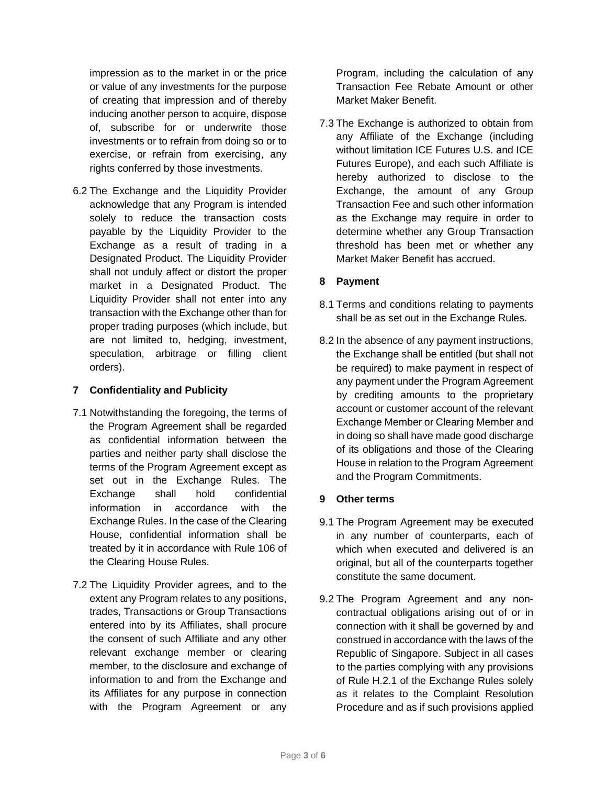impression as to the market in or the price or value of any investments for the purpose of creating that impression and of thereby inducing another person to acquire, dispose of, subscribe for or underwrite those investments or to refrain from doing so or to exercise, or refrain from exercising, any rights conferred by those investments.

6.2 The Exchange and the Liquidity Provider acknowledge that any Program is intended solely to reduce the transaction costs payable by the Liquidity Provider to the Exchange as a result of trading in a Designated Product. The Liquidity Provider shall not unduly affect or distort the proper market in a Designated Product. The Liquidity Provider shall not enter into any transaction with the Exchange other than for proper trading purposes (which include, but are not limited to, hedging, investment, speculation, arbitrage or filling client orders).

## **7 Confidentiality and Publicity**

- 7.1 Notwithstanding the foregoing, the terms of the Program Agreement shall be regarded as confidential information between the parties and neither party shall disclose the terms of the Program Agreement except as set out in the Exchange Rules. The Exchange shall hold confidential information in accordance with the Exchange Rules. In the case of the Clearing House, confidential information shall be treated by it in accordance with Rule 106 of the Clearing House Rules.
- 7.2 The Liquidity Provider agrees, and to the extent any Program relates to any positions, trades, Transactions or Group Transactions entered into by its Affiliates, shall procure the consent of such Affiliate and any other relevant exchange member or clearing member, to the disclosure and exchange of information to and from the Exchange and its Affiliates for any purpose in connection with the Program Agreement or any

Program, including the calculation of any Transaction Fee Rebate Amount or other Market Maker Benefit.

7.3 The Exchange is authorized to obtain from any Affiliate of the Exchange (including without limitation ICE Futures U.S. and ICE Futures Europe), and each such Affiliate is hereby authorized to disclose to the Exchange, the amount of any Group Transaction Fee and such other information as the Exchange may require in order to determine whether any Group Transaction threshold has been met or whether any Market Maker Benefit has accrued.

# **8 Payment**

- 8.1 Terms and conditions relating to payments shall be as set out in the Exchange Rules.
- 8.2 In the absence of any payment instructions, the Exchange shall be entitled (but shall not be required) to make payment in respect of any payment under the Program Agreement by crediting amounts to the proprietary account or customer account of the relevant Exchange Member or Clearing Member and in doing so shall have made good discharge of its obligations and those of the Clearing House in relation to the Program Agreement and the Program Commitments.

#### **9 Other terms**

- 9.1 The Program Agreement may be executed in any number of counterparts, each of which when executed and delivered is an original, but all of the counterparts together constitute the same document.
- 9.2 The Program Agreement and any noncontractual obligations arising out of or in connection with it shall be governed by and construed in accordance with the laws of the Republic of Singapore. Subject in all cases to the parties complying with any provisions of Rule H.2.1 of the Exchange Rules solely as it relates to the Complaint Resolution Procedure and as if such provisions applied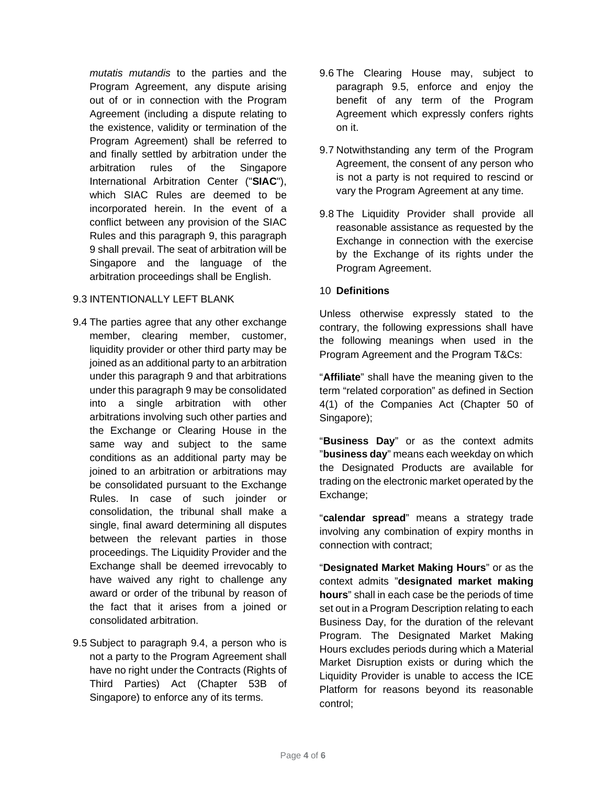*mutatis mutandis* to the parties and the Program Agreement, any dispute arising out of or in connection with the Program Agreement (including a dispute relating to the existence, validity or termination of the Program Agreement) shall be referred to and finally settled by arbitration under the arbitration rules of the Singapore International Arbitration Center ("**SIAC**"), which SIAC Rules are deemed to be incorporated herein. In the event of a conflict between any provision of the SIAC Rules and this paragraph 9, this paragraph 9 shall prevail. The seat of arbitration will be Singapore and the language of the arbitration proceedings shall be English.

## 9.3 INTENTIONALLY LEFT BLANK

- 9.4 The parties agree that any other exchange member, clearing member, customer, liquidity provider or other third party may be joined as an additional party to an arbitration under this paragraph 9 and that arbitrations under this paragraph 9 may be consolidated into a single arbitration with other arbitrations involving such other parties and the Exchange or Clearing House in the same way and subject to the same conditions as an additional party may be joined to an arbitration or arbitrations may be consolidated pursuant to the Exchange Rules. In case of such joinder or consolidation, the tribunal shall make a single, final award determining all disputes between the relevant parties in those proceedings. The Liquidity Provider and the Exchange shall be deemed irrevocably to have waived any right to challenge any award or order of the tribunal by reason of the fact that it arises from a joined or consolidated arbitration.
- 9.5 Subject to paragraph 9.4, a person who is not a party to the Program Agreement shall have no right under the Contracts (Rights of Third Parties) Act (Chapter 53B of Singapore) to enforce any of its terms.
- 9.6 The Clearing House may, subject to paragraph 9.5, enforce and enjoy the benefit of any term of the Program Agreement which expressly confers rights on it.
- 9.7 Notwithstanding any term of the Program Agreement, the consent of any person who is not a party is not required to rescind or vary the Program Agreement at any time.
- 9.8 The Liquidity Provider shall provide all reasonable assistance as requested by the Exchange in connection with the exercise by the Exchange of its rights under the Program Agreement.

## 10 **Definitions**

Unless otherwise expressly stated to the contrary, the following expressions shall have the following meanings when used in the Program Agreement and the Program T&Cs:

"**Affiliate**" shall have the meaning given to the term "related corporation" as defined in Section 4(1) of the Companies Act (Chapter 50 of Singapore);

"**Business Day**" or as the context admits "**business day**" means each weekday on which the Designated Products are available for trading on the electronic market operated by the Exchange;

"**calendar spread**" means a strategy trade involving any combination of expiry months in connection with contract;

"**Designated Market Making Hours**" or as the context admits "**designated market making hours**" shall in each case be the periods of time set out in a Program Description relating to each Business Day, for the duration of the relevant Program. The Designated Market Making Hours excludes periods during which a Material Market Disruption exists or during which the Liquidity Provider is unable to access the ICE Platform for reasons beyond its reasonable control;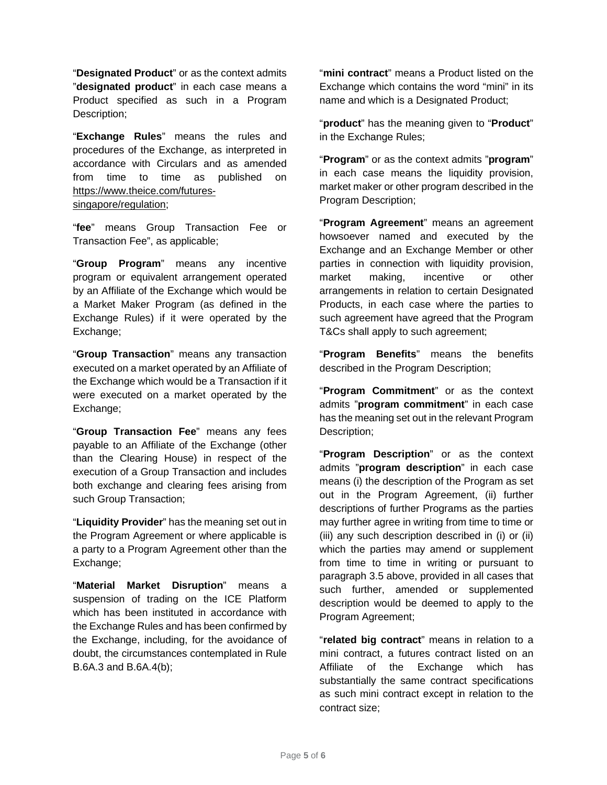"**Designated Product**" or as the context admits "**designated product**" in each case means a Product specified as such in a Program Description;

"**Exchange Rules**" means the rules and procedures of the Exchange, as interpreted in accordance with Circulars and as amended from time to time as published on https://www.theice.com/futuressingapore/regulation;

"**fee**" means Group Transaction Fee or Transaction Fee", as applicable;

"**Group Program**" means any incentive program or equivalent arrangement operated by an Affiliate of the Exchange which would be a Market Maker Program (as defined in the Exchange Rules) if it were operated by the Exchange;

"**Group Transaction**" means any transaction executed on a market operated by an Affiliate of the Exchange which would be a Transaction if it were executed on a market operated by the Exchange;

"**Group Transaction Fee**" means any fees payable to an Affiliate of the Exchange (other than the Clearing House) in respect of the execution of a Group Transaction and includes both exchange and clearing fees arising from such Group Transaction;

"**Liquidity Provider**" has the meaning set out in the Program Agreement or where applicable is a party to a Program Agreement other than the Exchange;

"**Material Market Disruption**" means a suspension of trading on the ICE Platform which has been instituted in accordance with the Exchange Rules and has been confirmed by the Exchange, including, for the avoidance of doubt, the circumstances contemplated in Rule B.6A.3 and B.6A.4(b);

"**mini contract**" means a Product listed on the Exchange which contains the word "mini" in its name and which is a Designated Product;

"**product**" has the meaning given to "**Product**" in the Exchange Rules;

"**Program**" or as the context admits "**program**" in each case means the liquidity provision, market maker or other program described in the Program Description;

"**Program Agreement**" means an agreement howsoever named and executed by the Exchange and an Exchange Member or other parties in connection with liquidity provision, market making, incentive or other arrangements in relation to certain Designated Products, in each case where the parties to such agreement have agreed that the Program T&Cs shall apply to such agreement;

"**Program Benefits**" means the benefits described in the Program Description;

"**Program Commitment**" or as the context admits "**program commitment**" in each case has the meaning set out in the relevant Program Description;

"**Program Description**" or as the context admits "**program description**" in each case means (i) the description of the Program as set out in the Program Agreement, (ii) further descriptions of further Programs as the parties may further agree in writing from time to time or (iii) any such description described in (i) or (ii) which the parties may amend or supplement from time to time in writing or pursuant to paragraph 3.5 above, provided in all cases that such further, amended or supplemented description would be deemed to apply to the Program Agreement;

"**related big contract**" means in relation to a mini contract, a futures contract listed on an Affiliate of the Exchange which has substantially the same contract specifications as such mini contract except in relation to the contract size;